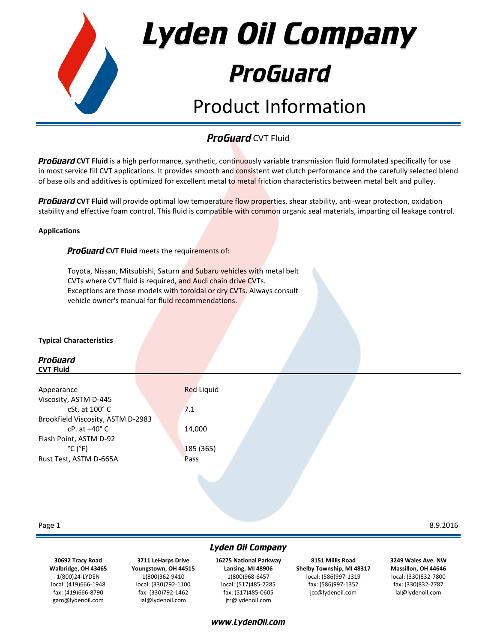

### **ProGuard CVT Fluid**

**ProGuard CVT Fluid** is a high performance, synthetic, continuously variable transmission fluid formulated specifically for use in most service fill CVT applications. It provides smooth and consistent wet clutch performance and the carefully selected blend of base oils and additives is optimized for excellent metal to metal friction characteristics between metal belt and pulley.

**ProGuard CVT Fluid** will provide optimal low temperature flow properties, shear stability, anti-wear protection, oxidation stability and effective foam control. This fluid is compatible with common organic seal materials, imparting oil leakage control.

### **Applications**

**ProGuard CVT Fluid** meets the requirements of:

Toyota, Nissan, Mitsubishi, Saturn and Subaru vehicles with metal belt CVTs where CVT fluid is required, and Audi chain drive CVTs. Exceptions are those models with toroidal or dry CVTs. Always consult vehicle owner's manual for fluid recommendations.

### **Typical Characteristics**

### ProGuard **CVT Fluid**

| Appearance                        | <b>Red Liquid</b> |  |
|-----------------------------------|-------------------|--|
| Viscosity, ASTM D-445             |                   |  |
| $cSt.$ at $100^{\circ}$ C         | 7.1               |  |
| Brookfield Viscosity, ASTM D-2983 |                   |  |
| $cP.$ at $-40^{\circ}$ C          | 14,000            |  |
| Flash Point, ASTM D-92            |                   |  |
| $^{\circ}$ C ( $^{\circ}$ F)      | 185(365)          |  |
| Rust Test, ASTM D-665A            | Pass              |  |
|                                   |                   |  |
|                                   |                   |  |

### Page 1 8.9.2016

**30692 Tracy Road Walbridge, OH 43465** 1(800)24-LYDEN local: (419)666-1948 fax: (419)666-8790 gam@lydenoil.com

**3711 LeHarps Drive Youngstown, OH 44515** 1(800)362-9410 local: (330)792-1100 fax: (330)792-1462 lal@lydenoil.com

# Lyden Oil Company

**16275 National Parkway Lansing, MI 48906** 1(800)968-6457 local: (517)485-2285 fax: (517)485-0605 jtr@lydenoil.com

www.LydenOil.com

**8151 Millis Road Shelby Township, MI 48317** local: (586)997-1319 fax: (586)997-1352 jcc@lydenoil.com

**3249 Wales Ave. NW Massillon, OH 44646** local: (330)832-7800 fax: (330)832-2787 lal@lydenoil.com